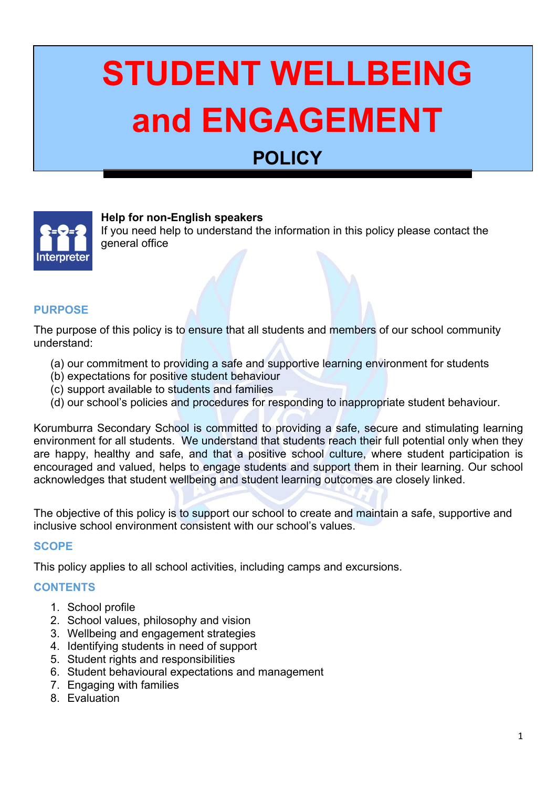# **STUDENT WELLBEING and ENGAGEMENT**

# **POLICY**



**Help for non-English speakers**

If you need help to understand the information in this policy please contact the general office

#### **PURPOSE**

The purpose of this policy is to ensure that all students and members of our school community understand:

- (a) our commitment to providing a safe and supportive learning environment for students
- (b) expectations for positive student behaviour
- (c) support available to students and families
- (d) our school's policies and procedures for responding to inappropriate student behaviour.

Korumburra Secondary School is committed to providing a safe, secure and stimulating learning environment for all students. We understand that students reach their full potential only when they are happy, healthy and safe, and that a positive school culture, where student participation is encouraged and valued, helps to engage students and support them in their learning. Our school acknowledges that student wellbeing and student learning outcomes are closely linked.

The objective of this policy is to support our school to create and maintain a safe, supportive and inclusive school environment consistent with our school's values.

#### **SCOPE**

This policy applies to all school activities, including camps and excursions.

#### **CONTENTS**

- 1. School profile
- 2. School values, philosophy and vision
- 3. Wellbeing and engagement strategies
- 4. Identifying students in need of support
- 5. Student rights and responsibilities
- 6. Student behavioural expectations and management
- 7. Engaging with families
- 8. Evaluation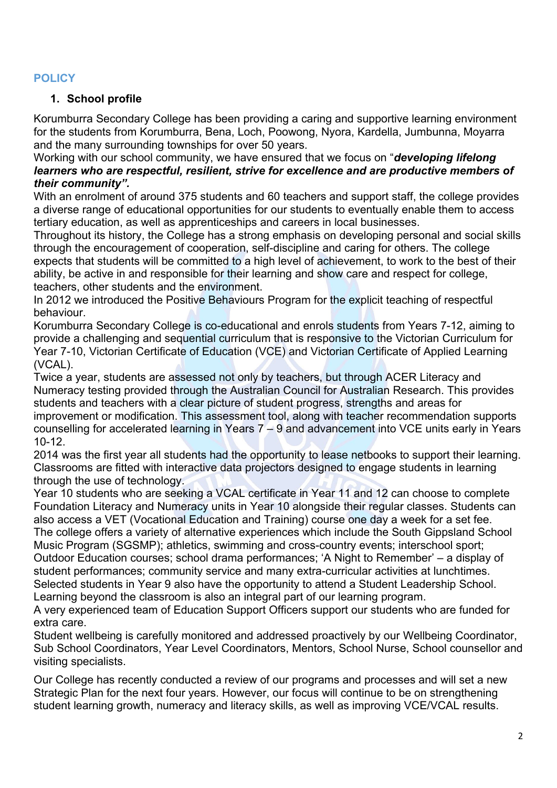#### **POLICY**

# **1. School profile**

Korumburra Secondary College has been providing a caring and supportive learning environment for the students from Korumburra, Bena, Loch, Poowong, Nyora, Kardella, Jumbunna, Moyarra and the many surrounding townships for over 50 years.

Working with our school community, we have ensured that we focus on "*developing lifelong learners who are respectful, resilient, strive for excellence and are productive members of their community".* 

With an enrolment of around 375 students and 60 teachers and support staff, the college provides a diverse range of educational opportunities for our students to eventually enable them to access tertiary education, as well as apprenticeships and careers in local businesses.

Throughout its history, the College has a strong emphasis on developing personal and social skills through the encouragement of cooperation, self-discipline and caring for others. The college expects that students will be committed to a high level of achievement, to work to the best of their ability, be active in and responsible for their learning and show care and respect for college, teachers, other students and the environment.

In 2012 we introduced the Positive Behaviours Program for the explicit teaching of respectful behaviour.

Korumburra Secondary College is co-educational and enrols students from Years 7-12, aiming to provide a challenging and sequential curriculum that is responsive to the Victorian Curriculum for Year 7-10, Victorian Certificate of Education (VCE) and Victorian Certificate of Applied Learning (VCAL).

Twice a year, students are assessed not only by teachers, but through ACER Literacy and Numeracy testing provided through the Australian Council for Australian Research. This provides students and teachers with a clear picture of student progress, strengths and areas for improvement or modification. This assessment tool, along with teacher recommendation supports counselling for accelerated learning in Years 7 – 9 and advancement into VCE units early in Years 10-12.

2014 was the first year all students had the opportunity to lease netbooks to support their learning. Classrooms are fitted with interactive data projectors designed to engage students in learning through the use of technology.

Year 10 students who are seeking a VCAL certificate in Year 11 and 12 can choose to complete Foundation Literacy and Numeracy units in Year 10 alongside their regular classes. Students can also access a VET (Vocational Education and Training) course one day a week for a set fee. The college offers a variety of alternative experiences which include the South Gippsland School Music Program (SGSMP); athletics, swimming and cross-country events; interschool sport; Outdoor Education courses; school drama performances; 'A Night to Remember' – a display of student performances; community service and many extra-curricular activities at lunchtimes. Selected students in Year 9 also have the opportunity to attend a Student Leadership School. Learning beyond the classroom is also an integral part of our learning program.

A very experienced team of Education Support Officers support our students who are funded for extra care.

Student wellbeing is carefully monitored and addressed proactively by our Wellbeing Coordinator, Sub School Coordinators, Year Level Coordinators, Mentors, School Nurse, School counsellor and visiting specialists.

Our College has recently conducted a review of our programs and processes and will set a new Strategic Plan for the next four years. However, our focus will continue to be on strengthening student learning growth, numeracy and literacy skills, as well as improving VCE/VCAL results.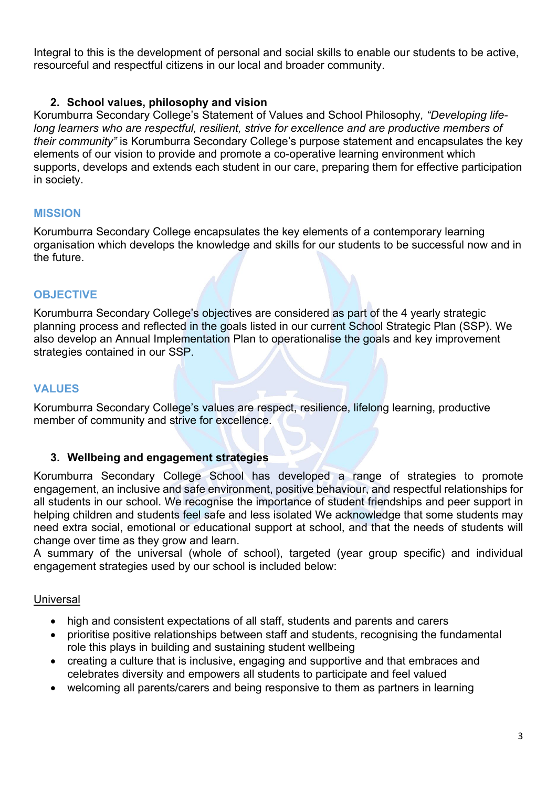Integral to this is the development of personal and social skills to enable our students to be active, resourceful and respectful citizens in our local and broader community.

#### **2. School values, philosophy and vision**

Korumburra Secondary College's Statement of Values and School Philosophy*, "Developing lifelong learners who are respectful, resilient, strive for excellence and are productive members of their community"* is Korumburra Secondary College's purpose statement and encapsulates the key elements of our vision to provide and promote a co-operative learning environment which supports, develops and extends each student in our care, preparing them for effective participation in society.

#### **MISSION**

Korumburra Secondary College encapsulates the key elements of a contemporary learning organisation which develops the knowledge and skills for our students to be successful now and in the future.

# **OBJECTIVE**

Korumburra Secondary College's objectives are considered as part of the 4 yearly strategic planning process and reflected in the goals listed in our current School Strategic Plan (SSP). We also develop an Annual Implementation Plan to operationalise the goals and key improvement strategies contained in our SSP.

# **VALUES**

Korumburra Secondary College's values are respect, resilience, lifelong learning, productive member of community and strive for excellence.

#### **3. Wellbeing and engagement strategies**

Korumburra Secondary College School has developed a range of strategies to promote engagement, an inclusive and safe environment, positive behaviour, and respectful relationships for all students in our school. We recognise the importance of student friendships and peer support in helping children and students feel safe and less isolated We acknowledge that some students may need extra social, emotional or educational support at school, and that the needs of students will change over time as they grow and learn.

A summary of the universal (whole of school), targeted (year group specific) and individual engagement strategies used by our school is included below:

#### Universal

- high and consistent expectations of all staff, students and parents and carers
- prioritise positive relationships between staff and students, recognising the fundamental role this plays in building and sustaining student wellbeing
- creating a culture that is inclusive, engaging and supportive and that embraces and celebrates diversity and empowers all students to participate and feel valued
- welcoming all parents/carers and being responsive to them as partners in learning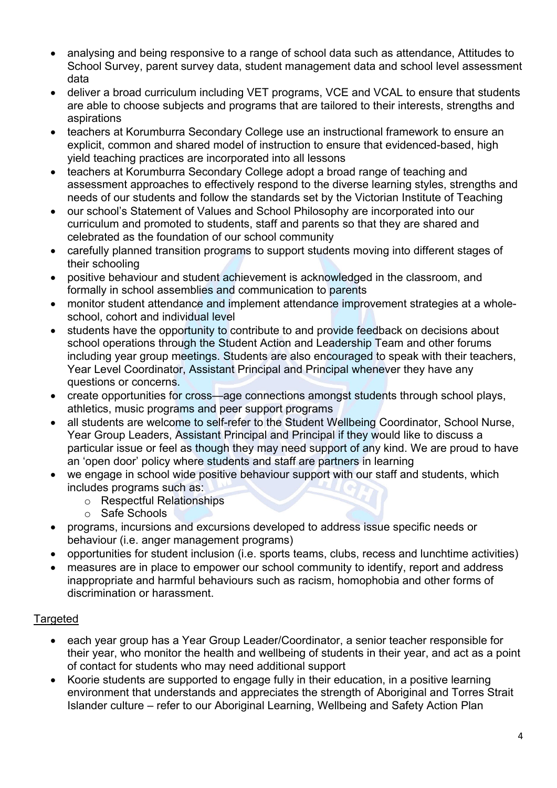- analysing and being responsive to a range of school data such as attendance, Attitudes to School Survey, parent survey data, student management data and school level assessment data
- deliver a broad curriculum including VET programs, VCE and VCAL to ensure that students are able to choose subjects and programs that are tailored to their interests, strengths and aspirations
- teachers at Korumburra Secondary College use an instructional framework to ensure an explicit, common and shared model of instruction to ensure that evidenced-based, high yield teaching practices are incorporated into all lessons
- teachers at Korumburra Secondary College adopt a broad range of teaching and assessment approaches to effectively respond to the diverse learning styles, strengths and needs of our students and follow the standards set by the Victorian Institute of Teaching
- our school's Statement of Values and School Philosophy are incorporated into our curriculum and promoted to students, staff and parents so that they are shared and celebrated as the foundation of our school community
- carefully planned transition programs to support students moving into different stages of their schooling
- positive behaviour and student achievement is acknowledged in the classroom, and formally in school assemblies and communication to parents
- monitor student attendance and implement attendance improvement strategies at a wholeschool, cohort and individual level
- students have the opportunity to contribute to and provide feedback on decisions about school operations through the Student Action and Leadership Team and other forums including year group meetings. Students are also encouraged to speak with their teachers, Year Level Coordinator, Assistant Principal and Principal whenever they have any questions or concerns.
- create opportunities for cross—age connections amongst students through school plays, athletics, music programs and peer support programs
- all students are welcome to self-refer to the Student Wellbeing Coordinator, School Nurse, Year Group Leaders, Assistant Principal and Principal if they would like to discuss a particular issue or feel as though they may need support of any kind. We are proud to have an 'open door' policy where students and staff are partners in learning
- we engage in school wide positive behaviour support with our staff and students, which includes programs such as:
	- o Respectful Relationships
	- o Safe Schools
- programs, incursions and excursions developed to address issue specific needs or behaviour (i.e. anger management programs)
- opportunities for student inclusion (i.e. sports teams, clubs, recess and lunchtime activities)
- measures are in place to empower our school community to identify, report and address inappropriate and harmful behaviours such as racism, homophobia and other forms of discrimination or harassment.

# **Targeted**

- each year group has a Year Group Leader/Coordinator, a senior teacher responsible for their year, who monitor the health and wellbeing of students in their year, and act as a point of contact for students who may need additional support
- Koorie students are supported to engage fully in their education, in a positive learning environment that understands and appreciates the strength of Aboriginal and Torres Strait Islander culture – refer to our Aboriginal Learning, Wellbeing and Safety Action Plan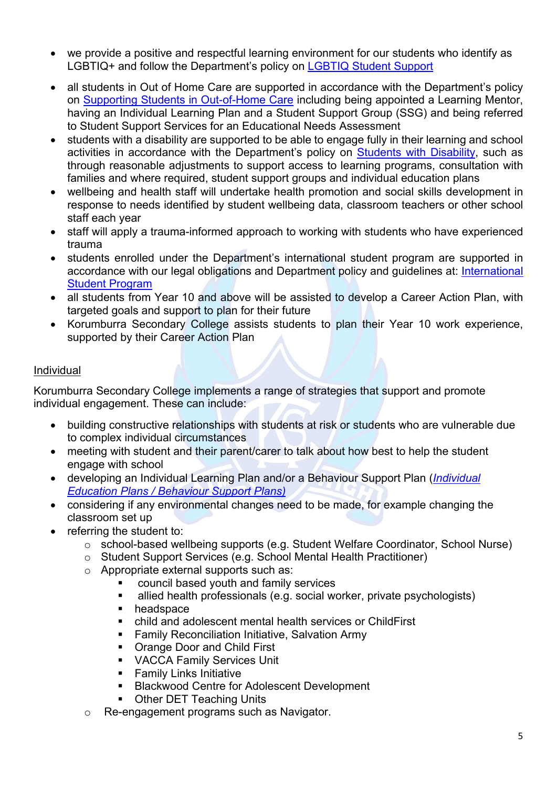- we provide a positive and respectful learning environment for our students who identify as LGBTIQ+ and follow the Department's policy on [LGBTIQ Student Support](https://www2.education.vic.gov.au/pal/lgbtiq-student-support/policy)
- all students in Out of Home Care are supported in accordance with the Department's policy on [Supporting Students in Out-of-Home Care](https://www2.education.vic.gov.au/pal/supporting-students-out-home-care/policy) including being appointed a Learning Mentor, having an Individual Learning Plan and a Student Support Group (SSG) and being referred to Student Support Services for an Educational Needs Assessment
- students with a disability are supported to be able to engage fully in their learning and school activities in accordance with the Department's policy on [Students with Disability,](https://www2.education.vic.gov.au/pal/students-disability/policy) such as through reasonable adjustments to support access to learning programs, consultation with families and where required, student support groups and individual education plans
- wellbeing and health staff will undertake health promotion and social skills development in response to needs identified by student wellbeing data, classroom teachers or other school staff each year
- staff will apply a trauma-informed approach to working with students who have experienced trauma
- students enrolled under the Department's international student program are supported in accordance with our legal obligations and Department policy and guidelines at: [International](https://www2.education.vic.gov.au/pal/international-student-program/guidance/supporting-students-learning-and-engagement-section-7)  [Student Program](https://www2.education.vic.gov.au/pal/international-student-program/guidance/supporting-students-learning-and-engagement-section-7)
- all students from Year 10 and above will be assisted to develop a Career Action Plan, with targeted goals and support to plan for their future
- Korumburra Secondary College assists students to plan their Year 10 work experience, supported by their Career Action Plan

#### Individual

Korumburra Secondary College implements a range of strategies that support and promote individual engagement. These can include:

- building constructive relationships with students at risk or students who are vulnerable due to complex individual circumstances
- meeting with student and their parent/carer to talk about how best to help the student engage with school
- developing an Individual Learning Plan and/or a Behaviour Support Plan (*[Individual](https://www2.education.vic.gov.au/pal/individual-education-plans-ieps/policy)  [Education Plans](https://www2.education.vic.gov.au/pal/individual-education-plans-ieps/policy) / [Behaviour Support Plans\)](https://www2.education.vic.gov.au/pal/behaviour-students/guidance/6-behaviour-support-plans)*
- considering if any environmental changes need to be made, for example changing the classroom set up
- referring the student to:
	- o school-based wellbeing supports (e.g. Student Welfare Coordinator, School Nurse)
	- o Student Support Services (e.g. School Mental Health Practitioner)
	- o Appropriate external supports such as:
		- council based youth and family services
		- allied health professionals (e.g. social worker, private psychologists)
		- **headspace**
		- child and adolescent mental health services or ChildFirst
		- **Family Reconciliation Initiative, Salvation Army**
		- **Orange Door and Child First**
		- VACCA Family Services Unit
		- **Family Links Initiative**
		- **Blackwood Centre for Adolescent Development**
		- **Other DET Teaching Units**
	- o Re-engagement programs such as Navigator.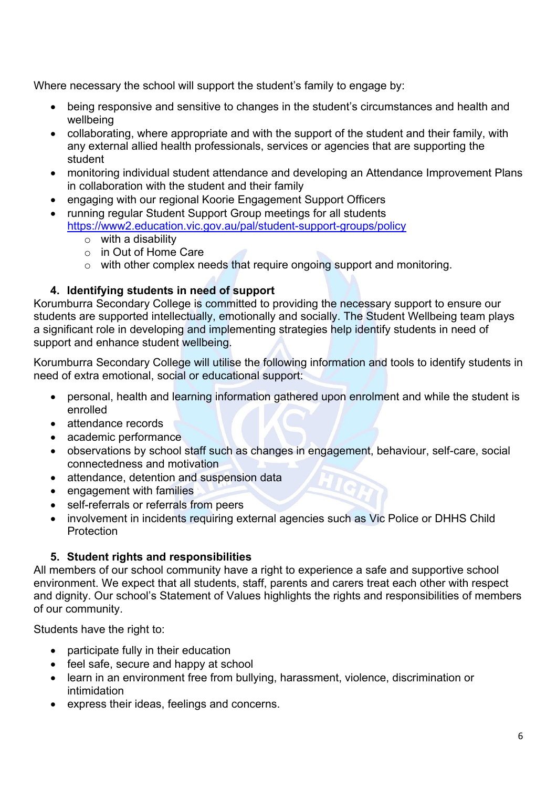Where necessary the school will support the student's family to engage by:

- being responsive and sensitive to changes in the student's circumstances and health and wellbeing
- collaborating, where appropriate and with the support of the student and their family, with any external allied health professionals, services or agencies that are supporting the student
- monitoring individual student attendance and developing an Attendance Improvement Plans in collaboration with the student and their family
- engaging with our regional Koorie Engagement Support Officers
- running regular Student Support Group meetings for all students <https://www2.education.vic.gov.au/pal/student-support-groups/policy>
	- $\circ$  with a disability
	- o in Out of Home Care
	- o with other complex needs that require ongoing support and monitoring.

#### **4. Identifying students in need of support**

Korumburra Secondary College is committed to providing the necessary support to ensure our students are supported intellectually, emotionally and socially. The Student Wellbeing team plays a significant role in developing and implementing strategies help identify students in need of support and enhance student wellbeing.

Korumburra Secondary College will utilise the following information and tools to identify students in need of extra emotional, social or educational support:

- personal, health and learning information gathered upon enrolment and while the student is enrolled
- attendance records
- academic performance
- observations by school staff such as changes in engagement, behaviour, self-care, social connectedness and motivation
- attendance, detention and suspension data
- engagement with families
- self-referrals or referrals from peers
- involvement in incidents requiring external agencies such as Vic Police or DHHS Child **Protection**

# **5. Student rights and responsibilities**

All members of our school community have a right to experience a safe and supportive school environment. We expect that all students, staff, parents and carers treat each other with respect and dignity. Our school's Statement of Values highlights the rights and responsibilities of members of our community.

Students have the right to:

- participate fully in their education
- feel safe, secure and happy at school
- learn in an environment free from bullying, harassment, violence, discrimination or intimidation
- express their ideas, feelings and concerns.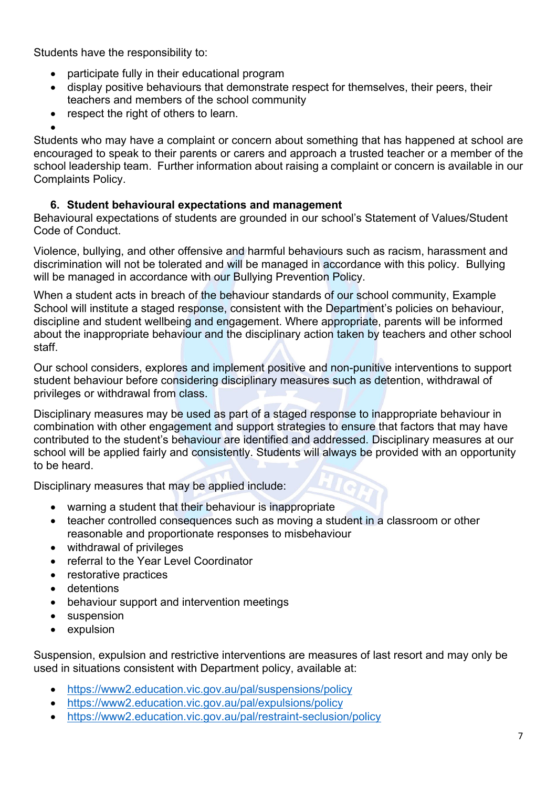Students have the responsibility to:

- participate fully in their educational program
- display positive behaviours that demonstrate respect for themselves, their peers, their teachers and members of the school community
- respect the right of others to learn.

• Students who may have a complaint or concern about something that has happened at school are encouraged to speak to their parents or carers and approach a trusted teacher or a member of the school leadership team. Further information about raising a complaint or concern is available in our Complaints Policy.

#### **6. Student behavioural expectations and management**

Behavioural expectations of students are grounded in our school's Statement of Values/Student Code of Conduct.

Violence, bullying, and other offensive and harmful behaviours such as racism, harassment and discrimination will not be tolerated and will be managed in accordance with this policy. Bullying will be managed in accordance with our Bullying Prevention Policy.

When a student acts in breach of the behaviour standards of our school community, Example School will institute a staged response, consistent with the Department's policies on behaviour, discipline and student wellbeing and engagement. Where appropriate, parents will be informed about the inappropriate behaviour and the disciplinary action taken by teachers and other school staff.

Our school considers, explores and implement positive and non-punitive interventions to support student behaviour before considering disciplinary measures such as detention, withdrawal of privileges or withdrawal from class.

Disciplinary measures may be used as part of a staged response to inappropriate behaviour in combination with other engagement and support strategies to ensure that factors that may have contributed to the student's behaviour are identified and addressed. Disciplinary measures at our school will be applied fairly and consistently. Students will always be provided with an opportunity to be heard.

Disciplinary measures that may be applied include:

- warning a student that their behaviour is inappropriate
- teacher controlled consequences such as moving a student in a classroom or other reasonable and proportionate responses to misbehaviour
- withdrawal of privileges
- referral to the Year Level Coordinator
- restorative practices
- detentions
- behaviour support and intervention meetings
- suspension
- expulsion

Suspension, expulsion and restrictive interventions are measures of last resort and may only be used in situations consistent with Department policy, available at:

- <https://www2.education.vic.gov.au/pal/suspensions/policy>
- <https://www2.education.vic.gov.au/pal/expulsions/policy>
- <https://www2.education.vic.gov.au/pal/restraint-seclusion/policy>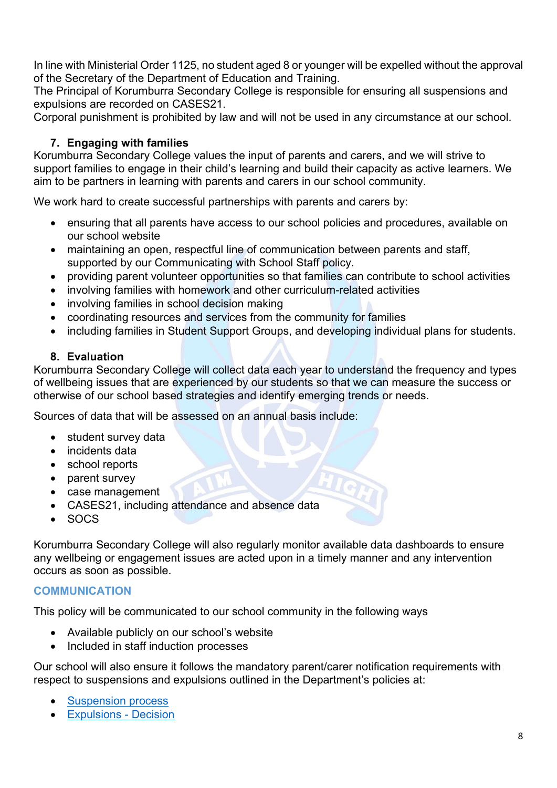In line with Ministerial Order 1125, no student aged 8 or younger will be expelled without the approval of the Secretary of the Department of Education and Training.

The Principal of Korumburra Secondary College is responsible for ensuring all suspensions and expulsions are recorded on CASES21.

Corporal punishment is prohibited by law and will not be used in any circumstance at our school.

# **7. Engaging with families**

Korumburra Secondary College values the input of parents and carers, and we will strive to support families to engage in their child's learning and build their capacity as active learners. We aim to be partners in learning with parents and carers in our school community.

We work hard to create successful partnerships with parents and carers by:

- ensuring that all parents have access to our school policies and procedures, available on our school website
- maintaining an open, respectful line of communication between parents and staff, supported by our Communicating with School Staff policy.
- providing parent volunteer opportunities so that families can contribute to school activities
- involving families with homework and other curriculum-related activities
- involving families in school decision making
- coordinating resources and services from the community for families
- including families in Student Support Groups, and developing individual plans for students.

# **8. Evaluation**

Korumburra Secondary College will collect data each year to understand the frequency and types of wellbeing issues that are experienced by our students so that we can measure the success or otherwise of our school based strategies and identify emerging trends or needs.

Sources of data that will be assessed on an annual basis include:

- student survey data
- incidents data
- school reports
- parent survey
- case management
- CASES21, including attendance and absence data
- SOCS

Korumburra Secondary College will also regularly monitor available data dashboards to ensure any wellbeing or engagement issues are acted upon in a timely manner and any intervention occurs as soon as possible.

# **COMMUNICATION**

This policy will be communicated to our school community in the following ways

- Available publicly on our school's website
- Included in staff induction processes

Our school will also ensure it follows the mandatory parent/carer notification requirements with respect to suspensions and expulsions outlined in the Department's policies at:

- **[Suspension process](https://www2.education.vic.gov.au/pal/suspensions/guidance/1-suspension-process)**
- [Expulsions -](https://www2.education.vic.gov.au/pal/expulsions/guidance/decision) Decision